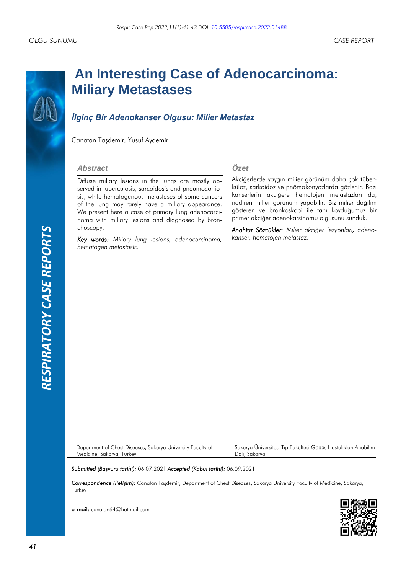# **RESPIRATORY CASE REPORTS** *RESPIRATORY CASE REPORTS*

# **An Interesting Case of Adenocarcinoma: Miliary Metastases**

# *İlginç Bir Adenokanser Olgusu: Milier Metastaz*

Canatan Taşdemir, Yusuf Aydemir

### *Abstract*

Diffuse miliary lesions in the lungs are mostly observed in tuberculosis, sarcoidosis and pneumoconiosis, while hematogenous metastases of some cancers of the lung may rarely have a miliary appearance. We present here a case of primary lung adenocarcinoma with miliary lesions and diagnosed by bronchoscopy.

*Key words: Miliary lung lesions, adenocarcinoma, hematogen metastasis.*

### *Özet*

Akciğerlerde yaygın milier görünüm daha çok tüberküloz, sarkoidoz ve pnömokonyozlarda gözlenir. Bazı kanserlerin akciğere hematojen metastazları da, nadiren milier görünüm yapabilir. Biz milier dağılım gösteren ve bronkoskopi ile tanı koyduğumuz bir primer akciğer adenokarsinomu olgusunu sunduk.

*Anahtar Sözcükler: Milier akciğer lezyonları, adenokanser, hematojen metastaz.*

Department of Chest Diseases, Sakarya University Faculty of Medicine, Sakarya, Turkey

Sakarya Üniversitesi Tıp Fakültesi Göğüs Hastalıkları Anabilim Dalı, Sakarya

*Submitted (Başvuru tarihi):* 06.07.2021 *Accepted (Kabul tarihi):* 06.09.2021

*Correspondence (İletişim):* Canatan Taşdemir, Department of Chest Diseases, Sakarya University Faculty of Medicine, Sakarya, **Turkey** 

e-mail: canatan64@hotmail.com

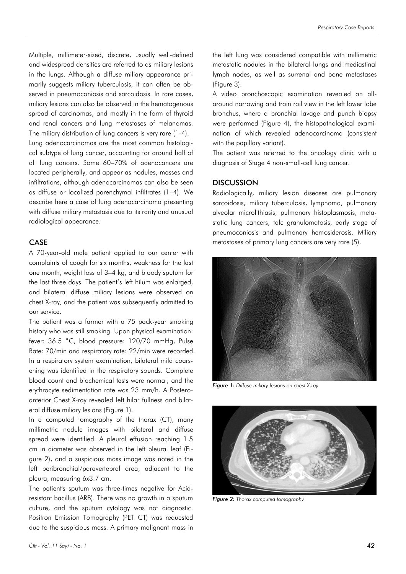Multiple, millimeter-sized, discrete, usually well-defined and widespread densities are referred to as miliary lesions in the lungs. Although a diffuse miliary appearance primarily suggests miliary tuberculosis, it can often be observed in pneumoconiosis and sarcoidosis. In rare cases, miliary lesions can also be observed in the hematogenous spread of carcinomas, and mostly in the form of thyroid and renal cancers and lung metastases of melanomas. The miliary distribution of lung cancers is very rare (1-4).

Lung adenocarcinomas are the most common histological subtype of lung cancer, accounting for around half of all lung cancers. Some 60–70% of adenocancers are located peripherally, and appear as nodules, masses and infiltrations, although adenocarcinomas can also be seen as diffuse or localized parenchymal infiltrates (1–4). We describe here a case of lung adenocarcinoma presenting with diffuse miliary metastasis due to its rarity and unusual radiological appearance.

### CASE

A 70-year-old male patient applied to our center with complaints of cough for six months, weakness for the last one month, weight loss of 3–4 kg, and bloody sputum for the last three days. The patient's left hilum was enlarged, and bilateral diffuse miliary lesions were observed on chest X-ray, and the patient was subsequently admitted to our service.

The patient was a farmer with a 75 pack-year smoking history who was still smoking. Upon physical examination: fever: 36.5 ˚C, blood pressure: 120/70 mmHg, Pulse Rate: 70/min and respiratory rate: 22/min were recorded. In a respiratory system examination, bilateral mild coarsening was identified in the respiratory sounds. Complete blood count and biochemical tests were normal, and the erythrocyte sedimentation rate was 23 mm/h. A Posteroanterior Chest X-ray revealed left hilar fullness and bilateral diffuse miliary lesions (Figure 1).

In a computed tomography of the thorax (CT), many millimetric nodule images with bilateral and diffuse spread were identified. A pleural effusion reaching 1.5 cm in diameter was observed in the left pleural leaf (Figure 2), and a suspicious mass image was noted in the left peribronchial/paravertebral area, adjacent to the pleura, measuring 6x3.7 cm.

The patient's sputum was three-times negative for Acidresistant bacillus (ARB). There was no growth in a sputum culture, and the sputum cytology was not diagnostic. Positron Emission Tomography (PET CT) was requested due to the suspicious mass. A primary malignant mass in the left lung was considered compatible with millimetric metastatic nodules in the bilateral lungs and mediastinal lymph nodes, as well as surrenal and bone metastases (Figure 3).

A video bronchoscopic examination revealed an allaround narrowing and train rail view in the left lower lobe bronchus, where a bronchial lavage and punch biopsy were performed (Figure 4), the histopathological examination of which revealed adenocarcinoma (consistent with the papillary variant).

The patient was referred to the oncology clinic with a diagnosis of Stage 4 non-small-cell lung cancer.

### **DISCUSSION**

Radiologically, miliary lesion diseases are pulmonary sarcoidosis, miliary tuberculosis, lymphoma, pulmonary alveolar microlithiasis, pulmonary histoplasmosis, metastatic lung cancers, talc granulomatosis, early stage of pneumoconiosis and pulmonary hemosiderosis. Miliary metastases of primary lung cancers are very rare (5).



*Figure 1: Diffuse miliary lesions on chest X-ray*



*Figure 2: Thorax computed tomography*